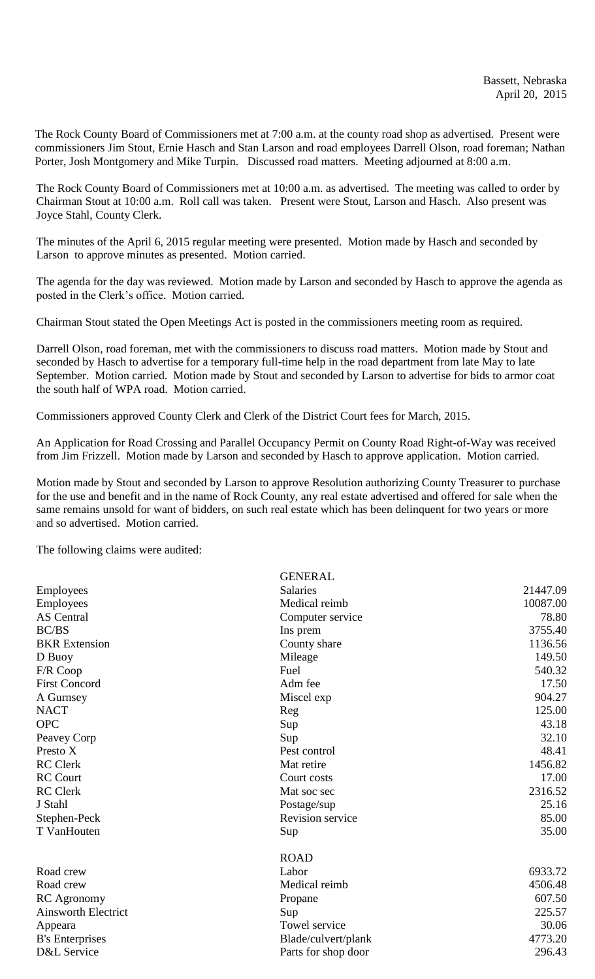The Rock County Board of Commissioners met at 7:00 a.m. at the county road shop as advertised. Present were commissioners Jim Stout, Ernie Hasch and Stan Larson and road employees Darrell Olson, road foreman; Nathan Porter, Josh Montgomery and Mike Turpin. Discussed road matters. Meeting adjourned at 8:00 a.m.

The Rock County Board of Commissioners met at 10:00 a.m. as advertised. The meeting was called to order by Chairman Stout at 10:00 a.m. Roll call was taken. Present were Stout, Larson and Hasch. Also present was Joyce Stahl, County Clerk.

The minutes of the April 6, 2015 regular meeting were presented. Motion made by Hasch and seconded by Larson to approve minutes as presented. Motion carried.

The agenda for the day was reviewed. Motion made by Larson and seconded by Hasch to approve the agenda as posted in the Clerk's office. Motion carried.

Chairman Stout stated the Open Meetings Act is posted in the commissioners meeting room as required.

Darrell Olson, road foreman, met with the commissioners to discuss road matters. Motion made by Stout and seconded by Hasch to advertise for a temporary full-time help in the road department from late May to late September. Motion carried. Motion made by Stout and seconded by Larson to advertise for bids to armor coat the south half of WPA road. Motion carried.

Commissioners approved County Clerk and Clerk of the District Court fees for March, 2015.

An Application for Road Crossing and Parallel Occupancy Permit on County Road Right-of-Way was received from Jim Frizzell. Motion made by Larson and seconded by Hasch to approve application. Motion carried.

Motion made by Stout and seconded by Larson to approve Resolution authorizing County Treasurer to purchase for the use and benefit and in the name of Rock County, any real estate advertised and offered for sale when the same remains unsold for want of bidders, on such real estate which has been delinquent for two years or more and so advertised. Motion carried.

The following claims were audited:

|                            | <b>GENERAL</b>      |          |
|----------------------------|---------------------|----------|
| Employees                  | <b>Salaries</b>     | 21447.09 |
| Employees                  | Medical reimb       | 10087.00 |
| <b>AS</b> Central          | Computer service    | 78.80    |
| <b>BC/BS</b>               | Ins prem            | 3755.40  |
| <b>BKR</b> Extension       | County share        | 1136.56  |
| D Buoy                     | Mileage             | 149.50   |
| F/R Coop                   | Fuel                | 540.32   |
| <b>First Concord</b>       | Adm fee             | 17.50    |
| A Gurnsey                  | Miscel exp          | 904.27   |
| <b>NACT</b>                | Reg                 | 125.00   |
| <b>OPC</b>                 | Sup                 | 43.18    |
| Peavey Corp                | Sup                 | 32.10    |
| Presto X                   | Pest control        | 48.41    |
| <b>RC</b> Clerk            | Mat retire          | 1456.82  |
| <b>RC</b> Court            | Court costs         | 17.00    |
| <b>RC</b> Clerk            | Mat soc sec         | 2316.52  |
| J Stahl                    | Postage/sup         | 25.16    |
| Stephen-Peck               | Revision service    | 85.00    |
| T VanHouten                | Sup                 | 35.00    |
|                            | <b>ROAD</b>         |          |
| Road crew                  | Labor               | 6933.72  |
| Road crew                  | Medical reimb       | 4506.48  |
| <b>RC</b> Agronomy         | Propane             | 607.50   |
| <b>Ainsworth Electrict</b> | Sup                 | 225.57   |
| Appeara                    | Towel service       | 30.06    |
| <b>B</b> 's Enterprises    | Blade/culvert/plank | 4773.20  |
| D&L Service                | Parts for shop door | 296.43   |